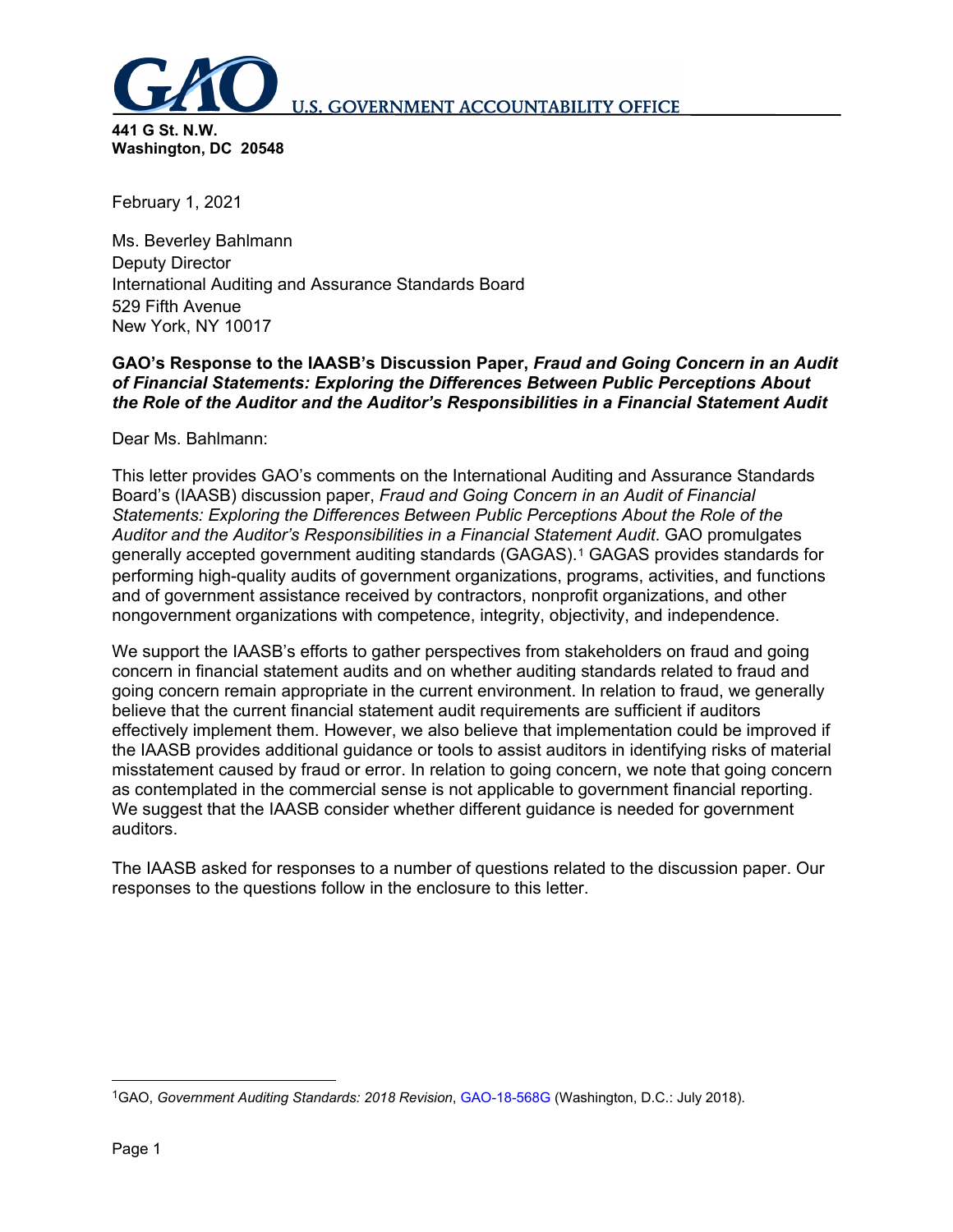

**441 G St. N.W. Washington, DC 20548**

February 1, 2021

Ms. Beverley Bahlmann Deputy Director International Auditing and Assurance Standards Board 529 Fifth Avenue New York, NY 10017

# **GAO's Response to the IAASB's Discussion Paper,** *Fraud and Going Concern in an Audit of Financial Statements: Exploring the Differences Between Public Perceptions About the Role of the Auditor and the Auditor's Responsibilities in a Financial Statement Audit*

Dear Ms. Bahlmann:

This letter provides GAO's comments on the International Auditing and Assurance Standards Board's (IAASB) discussion paper, *Fraud and Going Concern in an Audit of Financial Statements: Exploring the Differences Between Public Perceptions About the Role of the Auditor and the Auditor's Responsibilities in a Financial Statement Audit*. GAO promulgates generally accepted government auditing standards (GAGAS).[1](#page-0-0) GAGAS provides standards for performing high-quality audits of government organizations, programs, activities, and functions and of government assistance received by contractors, nonprofit organizations, and other nongovernment organizations with competence, integrity, objectivity, and independence.

We support the IAASB's efforts to gather perspectives from stakeholders on fraud and going concern in financial statement audits and on whether auditing standards related to fraud and going concern remain appropriate in the current environment. In relation to fraud, we generally believe that the current financial statement audit requirements are sufficient if auditors effectively implement them. However, we also believe that implementation could be improved if the IAASB provides additional guidance or tools to assist auditors in identifying risks of material misstatement caused by fraud or error. In relation to going concern, we note that going concern as contemplated in the commercial sense is not applicable to government financial reporting. We suggest that the IAASB consider whether different guidance is needed for government auditors.

The IAASB asked for responses to a number of questions related to the discussion paper. Our responses to the questions follow in the enclosure to this letter.

<span id="page-0-0"></span> <sup>1</sup>GAO, *Government Auditing Standards: 2018 Revision*, [GAO-18-568G](https://www.gao.gov/products/GAO-18-568G) (Washington, D.C.: July 2018).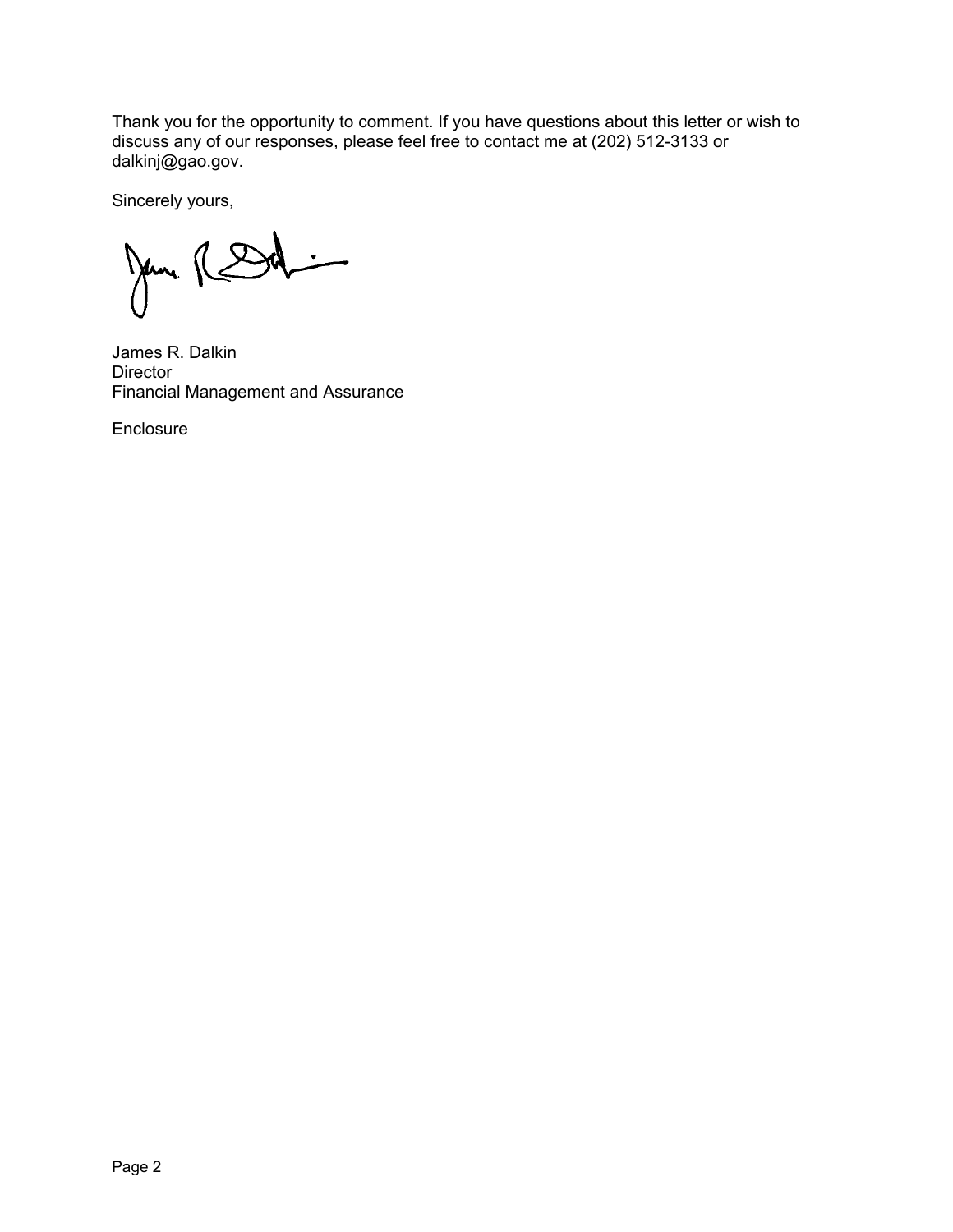Thank you for the opportunity to comment. If you have questions about this letter or wish to discuss any of our responses, please feel free to contact me at (202) 512-3133 or dalkinj@gao.gov.

Sincerely yours,

Jane RSd  $\overline{\phantom{a}}$ 

James R. Dalkin **Director** Financial Management and Assurance

Enclosure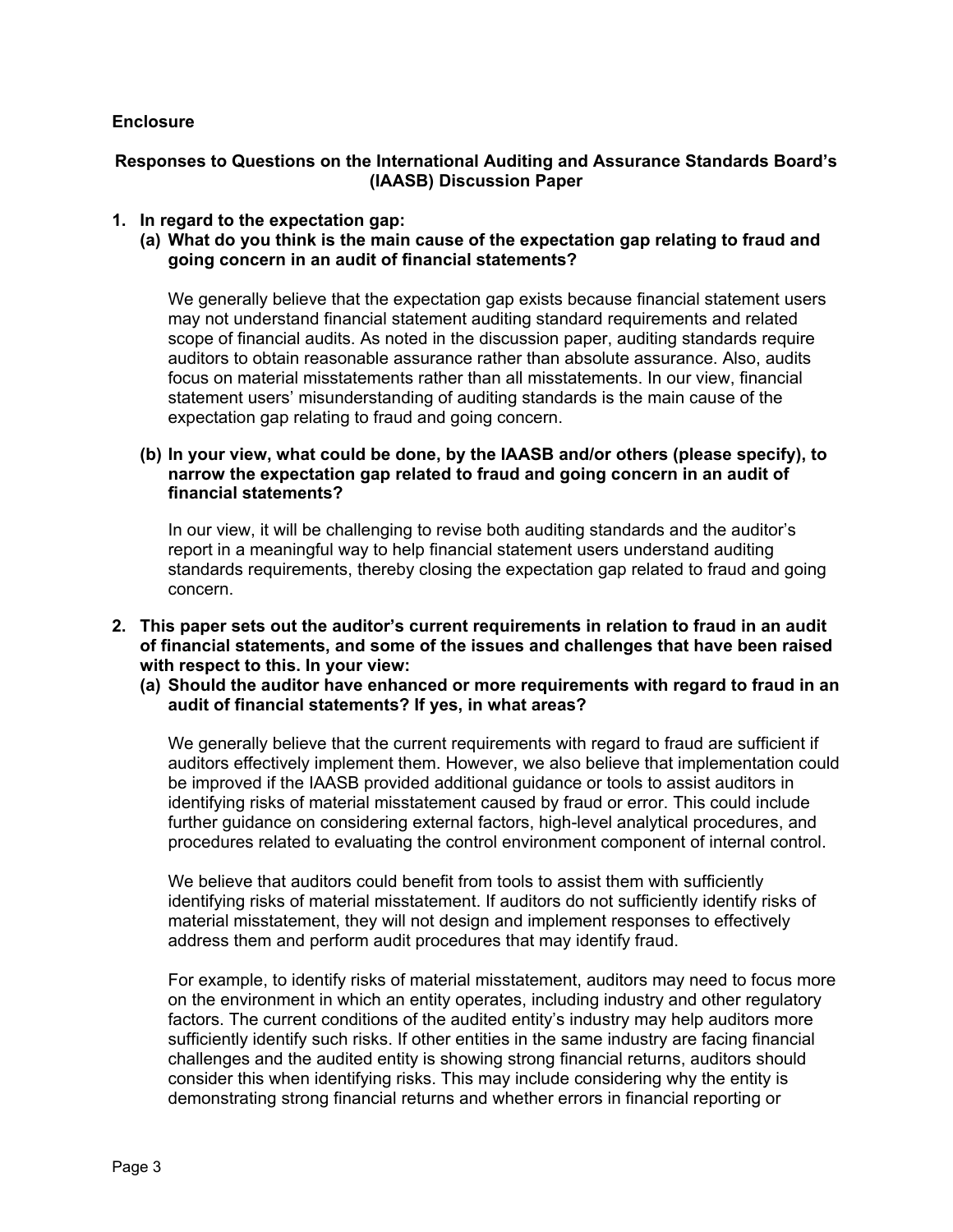### **Enclosure**

# **Responses to Questions on the International Auditing and Assurance Standards Board's (IAASB) Discussion Paper**

# **1. In regard to the expectation gap:**

**(a) What do you think is the main cause of the expectation gap relating to fraud and going concern in an audit of financial statements?**

We generally believe that the expectation gap exists because financial statement users may not understand financial statement auditing standard requirements and related scope of financial audits. As noted in the discussion paper, auditing standards require auditors to obtain reasonable assurance rather than absolute assurance. Also, audits focus on material misstatements rather than all misstatements. In our view, financial statement users' misunderstanding of auditing standards is the main cause of the expectation gap relating to fraud and going concern.

#### **(b) In your view, what could be done, by the IAASB and/or others (please specify), to narrow the expectation gap related to fraud and going concern in an audit of financial statements?**

In our view, it will be challenging to revise both auditing standards and the auditor's report in a meaningful way to help financial statement users understand auditing standards requirements, thereby closing the expectation gap related to fraud and going concern.

- **2. This paper sets out the auditor's current requirements in relation to fraud in an audit of financial statements, and some of the issues and challenges that have been raised with respect to this. In your view:**
	- **(a) Should the auditor have enhanced or more requirements with regard to fraud in an audit of financial statements? If yes, in what areas?**

We generally believe that the current requirements with regard to fraud are sufficient if auditors effectively implement them. However, we also believe that implementation could be improved if the IAASB provided additional guidance or tools to assist auditors in identifying risks of material misstatement caused by fraud or error. This could include further guidance on considering external factors, high-level analytical procedures, and procedures related to evaluating the control environment component of internal control.

We believe that auditors could benefit from tools to assist them with sufficiently identifying risks of material misstatement. If auditors do not sufficiently identify risks of material misstatement, they will not design and implement responses to effectively address them and perform audit procedures that may identify fraud.

For example, to identify risks of material misstatement, auditors may need to focus more on the environment in which an entity operates, including industry and other regulatory factors. The current conditions of the audited entity's industry may help auditors more sufficiently identify such risks. If other entities in the same industry are facing financial challenges and the audited entity is showing strong financial returns, auditors should consider this when identifying risks. This may include considering why the entity is demonstrating strong financial returns and whether errors in financial reporting or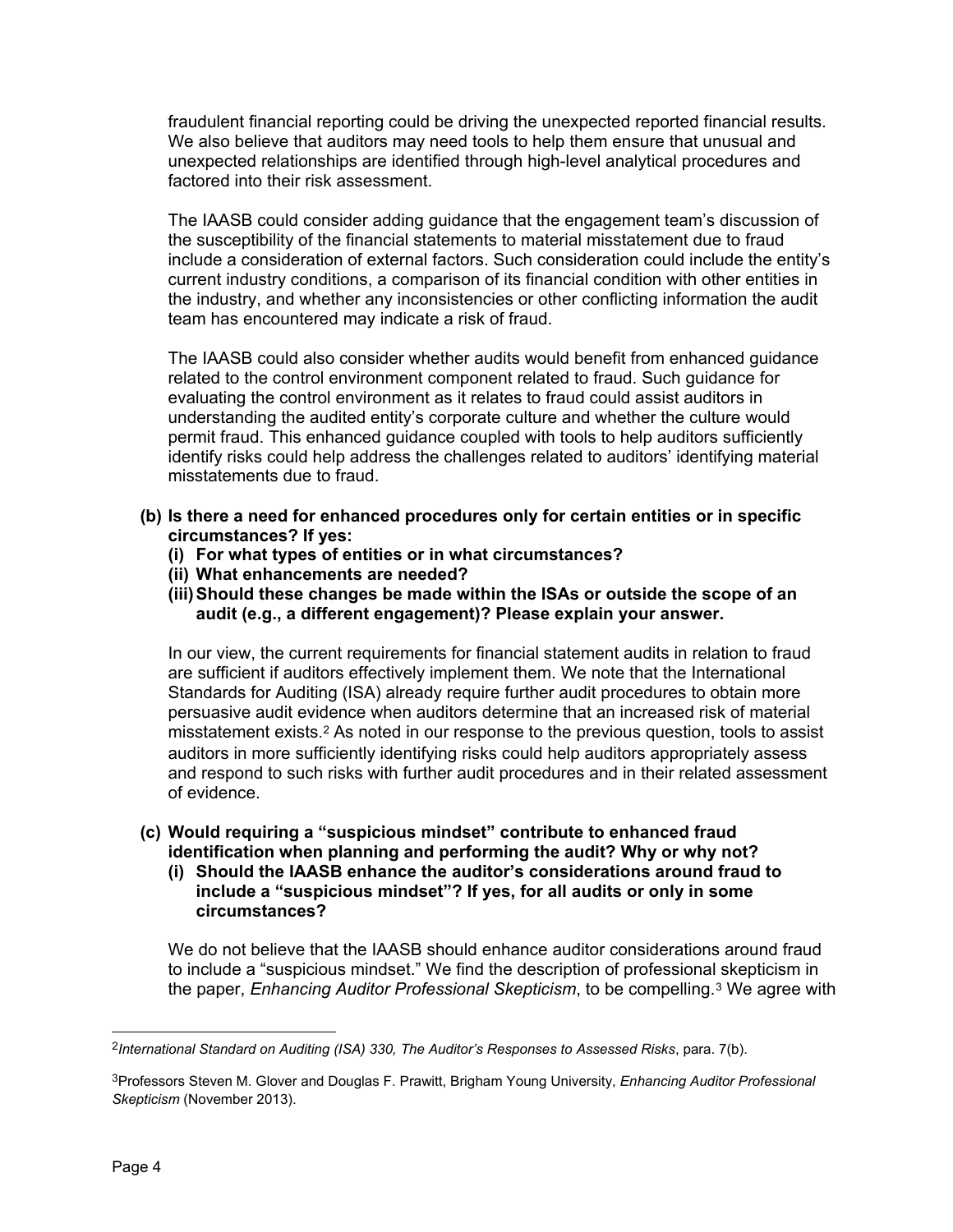fraudulent financial reporting could be driving the unexpected reported financial results. We also believe that auditors may need tools to help them ensure that unusual and unexpected relationships are identified through high-level analytical procedures and factored into their risk assessment.

The IAASB could consider adding guidance that the engagement team's discussion of the susceptibility of the financial statements to material misstatement due to fraud include a consideration of external factors. Such consideration could include the entity's current industry conditions, a comparison of its financial condition with other entities in the industry, and whether any inconsistencies or other conflicting information the audit team has encountered may indicate a risk of fraud.

The IAASB could also consider whether audits would benefit from enhanced guidance related to the control environment component related to fraud. Such guidance for evaluating the control environment as it relates to fraud could assist auditors in understanding the audited entity's corporate culture and whether the culture would permit fraud. This enhanced guidance coupled with tools to help auditors sufficiently identify risks could help address the challenges related to auditors' identifying material misstatements due to fraud.

- **(b) Is there a need for enhanced procedures only for certain entities or in specific circumstances? If yes:**
	- **(i) For what types of entities or in what circumstances?**
	- **(ii) What enhancements are needed?**
	- **(iii)Should these changes be made within the ISAs or outside the scope of an audit (e.g., a different engagement)? Please explain your answer.**

In our view, the current requirements for financial statement audits in relation to fraud are sufficient if auditors effectively implement them. We note that the International Standards for Auditing (ISA) already require further audit procedures to obtain more persuasive audit evidence when auditors determine that an increased risk of material misstatement exists.[2](#page-3-0) As noted in our response to the previous question, tools to assist auditors in more sufficiently identifying risks could help auditors appropriately assess and respond to such risks with further audit procedures and in their related assessment of evidence.

- **(c) Would requiring a "suspicious mindset" contribute to enhanced fraud identification when planning and performing the audit? Why or why not?**
	- **(i) Should the IAASB enhance the auditor's considerations around fraud to include a "suspicious mindset"? If yes, for all audits or only in some circumstances?**

We do not believe that the IAASB should enhance auditor considerations around fraud to include a "suspicious mindset." We find the description of professional skepticism in the paper, *Enhancing Auditor Professional Skepticism*, to be compelling.[3](#page-3-1) We agree with

<span id="page-3-0"></span> <sup>2</sup>*International Standard on Auditing (ISA) 330, The Auditor's Responses to Assessed Risks*, para. 7(b).

<span id="page-3-1"></span><sup>3</sup>Professors Steven M. Glover and Douglas F. Prawitt, Brigham Young University, *Enhancing Auditor Professional Skepticism* (November 2013).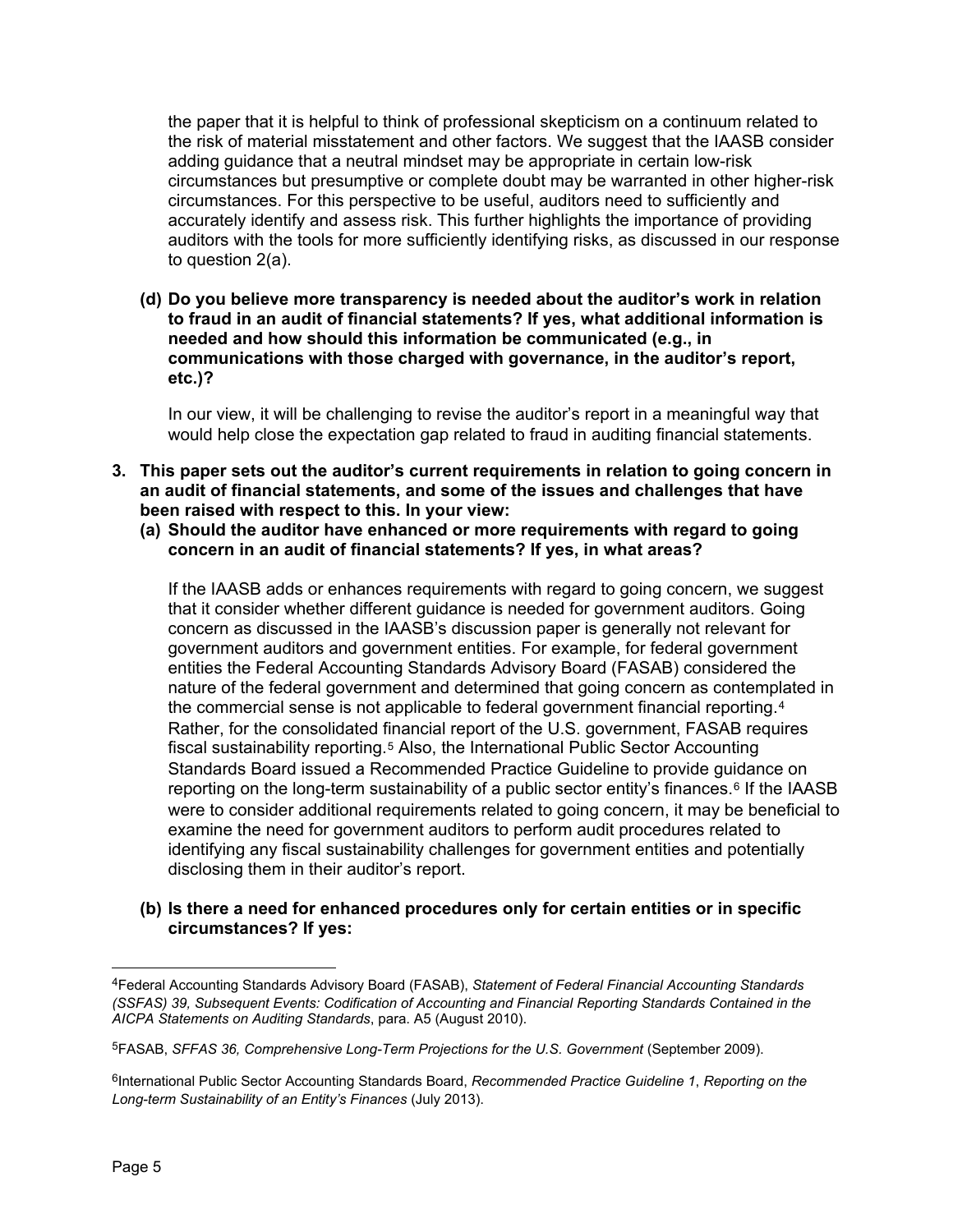the paper that it is helpful to think of professional skepticism on a continuum related to the risk of material misstatement and other factors. We suggest that the IAASB consider adding guidance that a neutral mindset may be appropriate in certain low-risk circumstances but presumptive or complete doubt may be warranted in other higher-risk circumstances. For this perspective to be useful, auditors need to sufficiently and accurately identify and assess risk. This further highlights the importance of providing auditors with the tools for more sufficiently identifying risks, as discussed in our response to question 2(a).

**(d) Do you believe more transparency is needed about the auditor's work in relation to fraud in an audit of financial statements? If yes, what additional information is needed and how should this information be communicated (e.g., in communications with those charged with governance, in the auditor's report, etc.)?**

In our view, it will be challenging to revise the auditor's report in a meaningful way that would help close the expectation gap related to fraud in auditing financial statements.

- **3. This paper sets out the auditor's current requirements in relation to going concern in an audit of financial statements, and some of the issues and challenges that have been raised with respect to this. In your view:**
	- **(a) Should the auditor have enhanced or more requirements with regard to going concern in an audit of financial statements? If yes, in what areas?**

If the IAASB adds or enhances requirements with regard to going concern, we suggest that it consider whether different guidance is needed for government auditors. Going concern as discussed in the IAASB's discussion paper is generally not relevant for government auditors and government entities. For example, for federal government entities the Federal Accounting Standards Advisory Board (FASAB) considered the nature of the federal government and determined that going concern as contemplated in the commercial sense is not applicable to federal government financial reporting.<sup>[4](#page-4-0)</sup> Rather, for the consolidated financial report of the U.S. government, FASAB requires fiscal sustainability reporting.[5](#page-4-1) Also, the International Public Sector Accounting Standards Board issued a Recommended Practice Guideline to provide guidance on reporting on the long-term sustainability of a public sector entity's finances.[6](#page-4-2) If the IAASB were to consider additional requirements related to going concern, it may be beneficial to examine the need for government auditors to perform audit procedures related to identifying any fiscal sustainability challenges for government entities and potentially disclosing them in their auditor's report.

### **(b) Is there a need for enhanced procedures only for certain entities or in specific circumstances? If yes:**

<span id="page-4-0"></span> <sup>4</sup>Federal Accounting Standards Advisory Board (FASAB), *Statement of Federal Financial Accounting Standards (SSFAS) 39, Subsequent Events: Codification of Accounting and Financial Reporting Standards Contained in the AICPA Statements on Auditing Standards*, para. A5 (August 2010).

<span id="page-4-1"></span><sup>5</sup>FASAB, *SFFAS 36, Comprehensive Long-Term Projections for the U.S. Government* (September 2009).

<span id="page-4-2"></span><sup>6</sup>International Public Sector Accounting Standards Board, *Recommended Practice Guideline 1*, *Reporting on the Long-term Sustainability of an Entity's Finances* (July 2013).